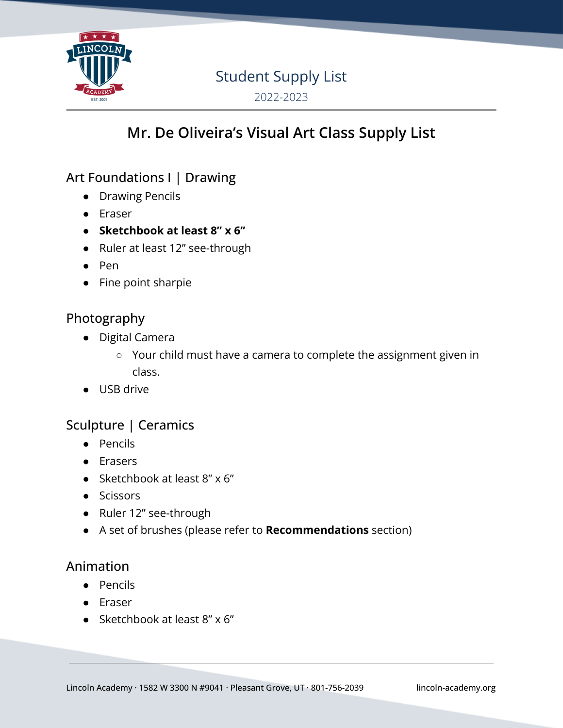

# Student Supply List

2022-2023

# **Mr. De Oliveira's Visual Art Class Supply List**

## Art Foundations I | Drawing

- Drawing Pencils
- Eraser
- **● Sketchbook at least 8" x 6"**
- Ruler at least 12" see-through
- Pen
- Fine point sharpie

### Photography

- Digital Camera
	- Your child must have a camera to complete the assignment given in class.
- USB drive

## Sculpture | Ceramics

- Pencils
- Erasers
- Sketchbook at least  $8'' \times 6''$
- Scissors
- Ruler 12" see-through
- A set of brushes (please refer to **Recommendations** section)

#### Animation

- Pencils
- Eraser
- Sketchbook at least 8" x 6"